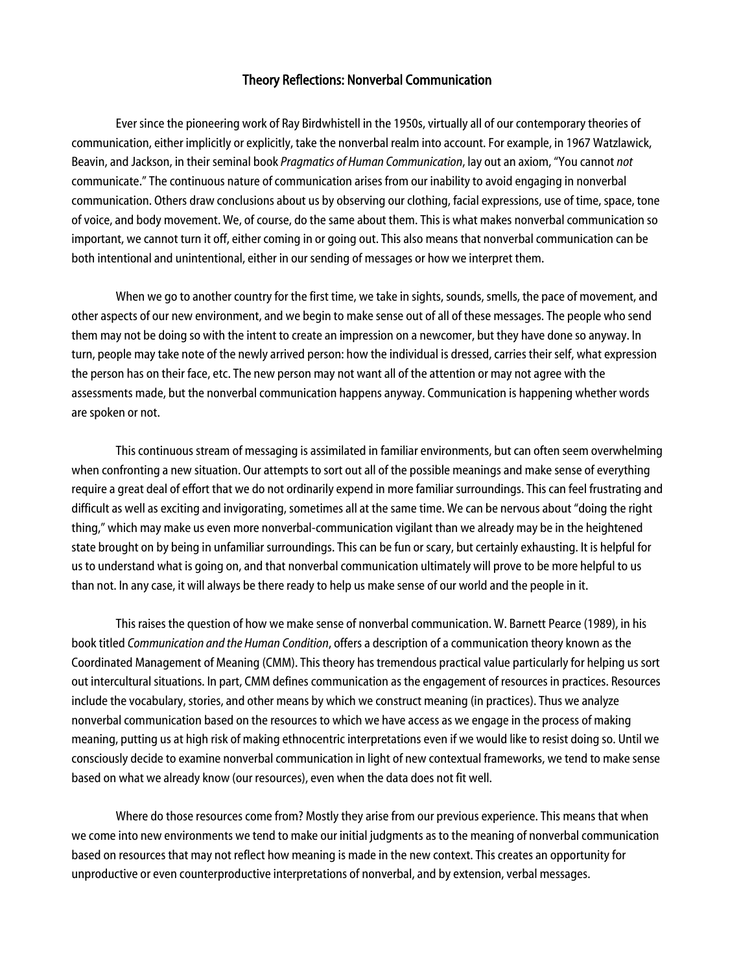## Theory Reflections: Nonverbal Communication

Ever since the pioneering work of Ray Birdwhistell in the 1950s, virtually all of our contemporary theories of communication, either implicitly or explicitly, take the nonverbal realm into account. For example, in 1967 Watzlawick, Beavin, and Jackson, in their seminal book *Pragmatics of Human Communication*, lay out an axiom, "You cannot *not*  communicate." The continuous nature of communication arises from our inability to avoid engaging in nonverbal communication. Others draw conclusions about us by observing our clothing, facial expressions, use of time, space, tone of voice, and body movement. We, of course, do the same about them. This is what makes nonverbal communication so important, we cannot turn it off, either coming in or going out. This also means that nonverbal communication can be both intentional and unintentional, either in our sending of messages or how we interpret them.

When we go to another country for the first time, we take in sights, sounds, smells, the pace of movement, and other aspects of our new environment, and we begin to make sense out of all of these messages. The people who send them may not be doing so with the intent to create an impression on a newcomer, but they have done so anyway. In turn, people may take note of the newly arrived person: how the individual is dressed, carries their self, what expression the person has on their face, etc. The new person may not want all of the attention or may not agree with the assessments made, but the nonverbal communication happens anyway. Communication is happening whether words are spoken or not.

This continuous stream of messaging is assimilated in familiar environments, but can often seem overwhelming when confronting a new situation. Our attempts to sort out all of the possible meanings and make sense of everything require a great deal of effort that we do not ordinarily expend in more familiar surroundings. This can feel frustrating and difficult as well as exciting and invigorating, sometimes all at the same time. We can be nervous about "doing the right thing," which may make us even more nonverbal-communication vigilant than we already may be in the heightened state brought on by being in unfamiliar surroundings. This can be fun or scary, but certainly exhausting. It is helpful for us to understand what is going on, and that nonverbal communication ultimately will prove to be more helpful to us than not. In any case, it will always be there ready to help us make sense of our world and the people in it.

This raises the question of how we make sense of nonverbal communication. W. Barnett Pearce (1989), in his book titled *Communication and the Human Condition*, offers a description of a communication theory known as the Coordinated Management of Meaning (CMM). This theory has tremendous practical value particularly for helping us sort out intercultural situations. In part, CMM defines communication as the engagement of resources in practices. Resources include the vocabulary, stories, and other means by which we construct meaning (in practices). Thus we analyze nonverbal communication based on the resources to which we have access as we engage in the process of making meaning, putting us at high risk of making ethnocentric interpretations even if we would like to resist doing so. Until we consciously decide to examine nonverbal communication in light of new contextual frameworks, we tend to make sense based on what we already know (our resources), even when the data does not fit well.

Where do those resources come from? Mostly they arise from our previous experience. This means that when we come into new environments we tend to make our initial judgments as to the meaning of nonverbal communication based on resources that may not reflect how meaning is made in the new context. This creates an opportunity for unproductive or even counterproductive interpretations of nonverbal, and by extension, verbal messages.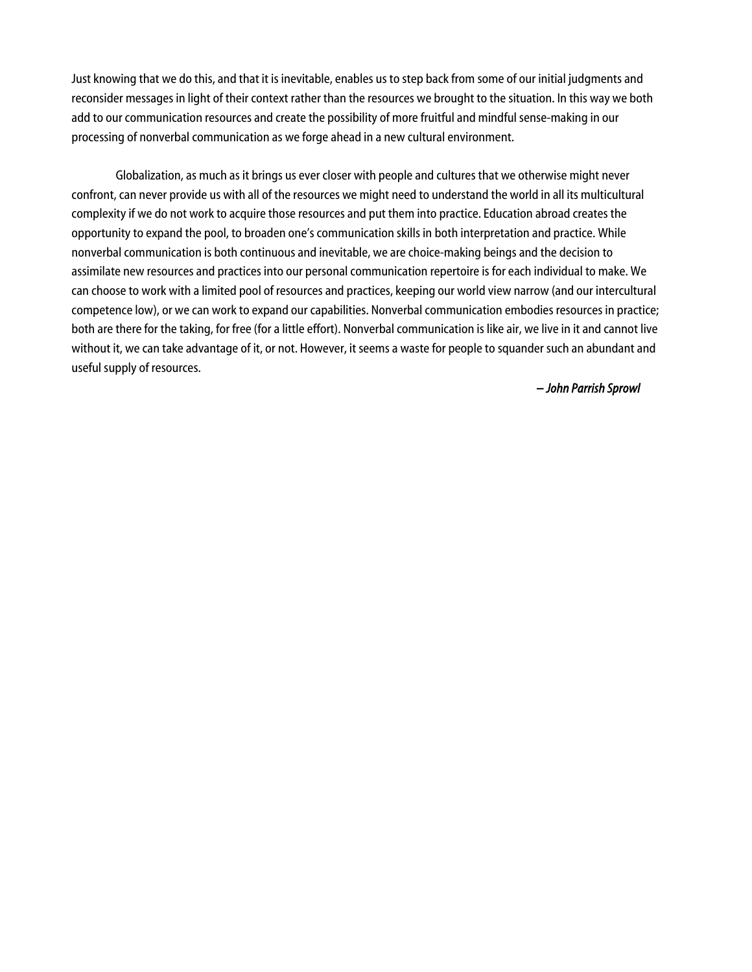Just knowing that we do this, and that it is inevitable, enables us to step back from some of our initial judgments and reconsider messages in light of their context rather than the resources we brought to the situation. In this way we both add to our communication resources and create the possibility of more fruitful and mindful sense-making in our processing of nonverbal communication as we forge ahead in a new cultural environment.

Globalization, as much as it brings us ever closer with people and cultures that we otherwise might never confront, can never provide us with all of the resources we might need to understand the world in all its multicultural complexity if we do not work to acquire those resources and put them into practice. Education abroad creates the opportunity to expand the pool, to broaden one's communication skills in both interpretation and practice. While nonverbal communication is both continuous and inevitable, we are choice-making beings and the decision to assimilate new resources and practices into our personal communication repertoire is for each individual to make. We can choose to work with a limited pool of resources and practices, keeping our world view narrow (and our intercultural competence low), or we can work to expand our capabilities. Nonverbal communication embodies resources in practice; both are there for the taking, for free (for a little effort). Nonverbal communication is like air, we live in it and cannot live without it, we can take advantage of it, or not. However, it seems a waste for people to squander such an abundant and useful supply of resources.

*– John Parrish Sprowl*